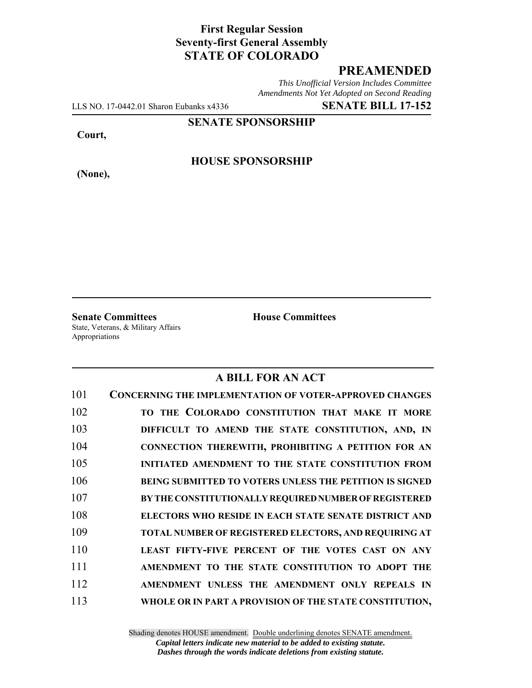# **First Regular Session Seventy-first General Assembly STATE OF COLORADO**

# **PREAMENDED**

*This Unofficial Version Includes Committee Amendments Not Yet Adopted on Second Reading*

LLS NO. 17-0442.01 Sharon Eubanks x4336 **SENATE BILL 17-152**

**SENATE SPONSORSHIP**

**Court,**

**(None),**

#### **HOUSE SPONSORSHIP**

**Senate Committees House Committees** State, Veterans, & Military Affairs Appropriations

### **A BILL FOR AN ACT**

| 101 | <b>CONCERNING THE IMPLEMENTATION OF VOTER-APPROVED CHANGES</b> |
|-----|----------------------------------------------------------------|
| 102 | TO THE COLORADO CONSTITUTION THAT MAKE IT MORE                 |
| 103 | DIFFICULT TO AMEND THE STATE CONSTITUTION, AND, IN             |
| 104 | CONNECTION THEREWITH, PROHIBITING A PETITION FOR AN            |
| 105 | <b>INITIATED AMENDMENT TO THE STATE CONSTITUTION FROM</b>      |
| 106 | <b>BEING SUBMITTED TO VOTERS UNLESS THE PETITION IS SIGNED</b> |
| 107 | BY THE CONSTITUTIONALLY REQUIRED NUMBER OF REGISTERED          |
| 108 | ELECTORS WHO RESIDE IN EACH STATE SENATE DISTRICT AND          |
| 109 | <b>TOTAL NUMBER OF REGISTERED ELECTORS, AND REQUIRING AT</b>   |
| 110 | LEAST FIFTY-FIVE PERCENT OF THE VOTES CAST ON ANY              |
| 111 | AMENDMENT TO THE STATE CONSTITUTION TO ADOPT THE               |
| 112 | AMENDMENT UNLESS THE AMENDMENT ONLY REPEALS IN                 |
| 113 | WHOLE OR IN PART A PROVISION OF THE STATE CONSTITUTION,        |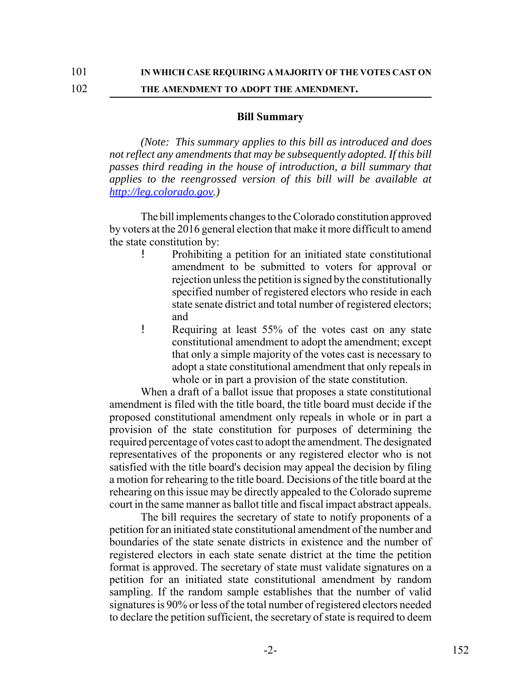102 **THE AMENDMENT TO ADOPT THE AMENDMENT.**

#### **Bill Summary**

*(Note: This summary applies to this bill as introduced and does not reflect any amendments that may be subsequently adopted. If this bill passes third reading in the house of introduction, a bill summary that applies to the reengrossed version of this bill will be available at http://leg.colorado.gov.)*

The bill implements changes to the Colorado constitution approved by voters at the 2016 general election that make it more difficult to amend the state constitution by:

- ! Prohibiting a petition for an initiated state constitutional amendment to be submitted to voters for approval or rejection unless the petition is signed by the constitutionally specified number of registered electors who reside in each state senate district and total number of registered electors; and
- ! Requiring at least 55% of the votes cast on any state constitutional amendment to adopt the amendment; except that only a simple majority of the votes cast is necessary to adopt a state constitutional amendment that only repeals in whole or in part a provision of the state constitution.

When a draft of a ballot issue that proposes a state constitutional amendment is filed with the title board, the title board must decide if the proposed constitutional amendment only repeals in whole or in part a provision of the state constitution for purposes of determining the required percentage of votes cast to adopt the amendment. The designated representatives of the proponents or any registered elector who is not satisfied with the title board's decision may appeal the decision by filing a motion for rehearing to the title board. Decisions of the title board at the rehearing on this issue may be directly appealed to the Colorado supreme court in the same manner as ballot title and fiscal impact abstract appeals.

The bill requires the secretary of state to notify proponents of a petition for an initiated state constitutional amendment of the number and boundaries of the state senate districts in existence and the number of registered electors in each state senate district at the time the petition format is approved. The secretary of state must validate signatures on a petition for an initiated state constitutional amendment by random sampling. If the random sample establishes that the number of valid signatures is 90% or less of the total number of registered electors needed to declare the petition sufficient, the secretary of state is required to deem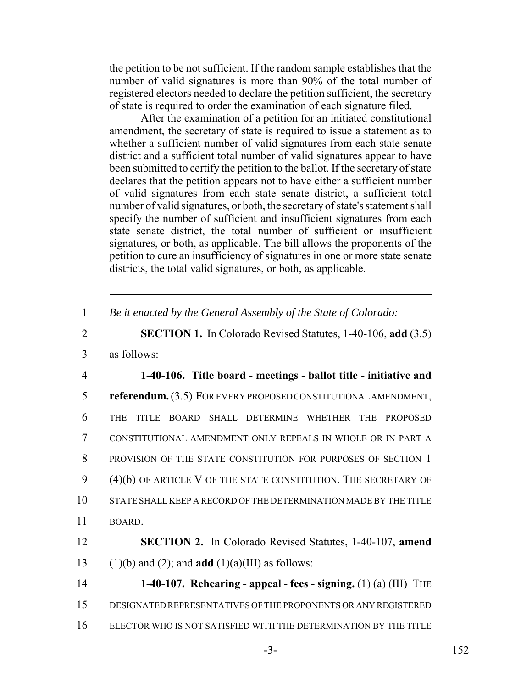the petition to be not sufficient. If the random sample establishes that the number of valid signatures is more than 90% of the total number of registered electors needed to declare the petition sufficient, the secretary of state is required to order the examination of each signature filed.

After the examination of a petition for an initiated constitutional amendment, the secretary of state is required to issue a statement as to whether a sufficient number of valid signatures from each state senate district and a sufficient total number of valid signatures appear to have been submitted to certify the petition to the ballot. If the secretary of state declares that the petition appears not to have either a sufficient number of valid signatures from each state senate district, a sufficient total number of valid signatures, or both, the secretary of state's statement shall specify the number of sufficient and insufficient signatures from each state senate district, the total number of sufficient or insufficient signatures, or both, as applicable. The bill allows the proponents of the petition to cure an insufficiency of signatures in one or more state senate districts, the total valid signatures, or both, as applicable.

1 *Be it enacted by the General Assembly of the State of Colorado:*

- 2 **SECTION 1.** In Colorado Revised Statutes, 1-40-106, **add** (3.5)
- 3 as follows:

 **1-40-106. Title board - meetings - ballot title - initiative and referendum.** (3.5) FOR EVERY PROPOSED CONSTITUTIONAL AMENDMENT, THE TITLE BOARD SHALL DETERMINE WHETHER THE PROPOSED CONSTITUTIONAL AMENDMENT ONLY REPEALS IN WHOLE OR IN PART A 8 PROVISION OF THE STATE CONSTITUTION FOR PURPOSES OF SECTION 1 (4)(b) OF ARTICLE V OF THE STATE CONSTITUTION. THE SECRETARY OF STATE SHALL KEEP A RECORD OF THE DETERMINATION MADE BY THE TITLE 11 BOARD.

12 **SECTION 2.** In Colorado Revised Statutes, 1-40-107, **amend** 13 (1)(b) and (2); and **add** (1)(a)(III) as follows:

14 **1-40-107. Rehearing - appeal - fees - signing.** (1) (a) (III) THE 15 DESIGNATED REPRESENTATIVES OF THE PROPONENTS OR ANY REGISTERED 16 ELECTOR WHO IS NOT SATISFIED WITH THE DETERMINATION BY THE TITLE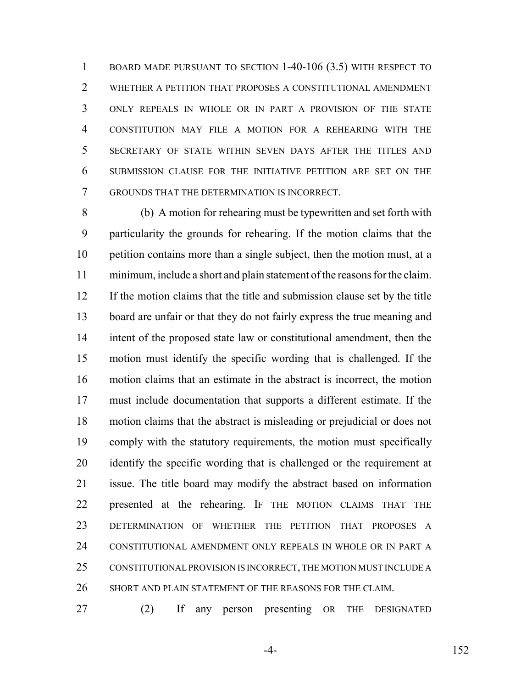BOARD MADE PURSUANT TO SECTION 1-40-106 (3.5) WITH RESPECT TO WHETHER A PETITION THAT PROPOSES A CONSTITUTIONAL AMENDMENT ONLY REPEALS IN WHOLE OR IN PART A PROVISION OF THE STATE CONSTITUTION MAY FILE A MOTION FOR A REHEARING WITH THE SECRETARY OF STATE WITHIN SEVEN DAYS AFTER THE TITLES AND SUBMISSION CLAUSE FOR THE INITIATIVE PETITION ARE SET ON THE GROUNDS THAT THE DETERMINATION IS INCORRECT.

 (b) A motion for rehearing must be typewritten and set forth with particularity the grounds for rehearing. If the motion claims that the petition contains more than a single subject, then the motion must, at a minimum, include a short and plain statement of the reasons for the claim. If the motion claims that the title and submission clause set by the title board are unfair or that they do not fairly express the true meaning and intent of the proposed state law or constitutional amendment, then the motion must identify the specific wording that is challenged. If the motion claims that an estimate in the abstract is incorrect, the motion must include documentation that supports a different estimate. If the motion claims that the abstract is misleading or prejudicial or does not comply with the statutory requirements, the motion must specifically identify the specific wording that is challenged or the requirement at issue. The title board may modify the abstract based on information presented at the rehearing. IF THE MOTION CLAIMS THAT THE DETERMINATION OF WHETHER THE PETITION THAT PROPOSES A CONSTITUTIONAL AMENDMENT ONLY REPEALS IN WHOLE OR IN PART A CONSTITUTIONAL PROVISION IS INCORRECT, THE MOTION MUST INCLUDE A SHORT AND PLAIN STATEMENT OF THE REASONS FOR THE CLAIM.

(2) If any person presenting OR THE DESIGNATED

-4- 152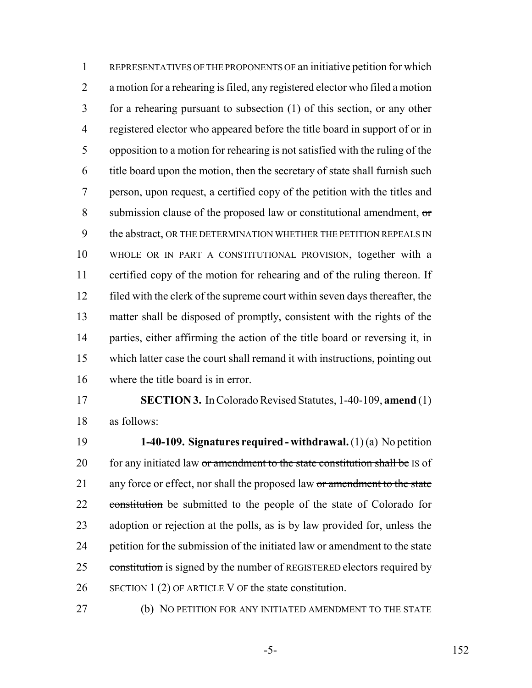REPRESENTATIVES OF THE PROPONENTS OF an initiative petition for which a motion for a rehearing is filed, any registered elector who filed a motion for a rehearing pursuant to subsection (1) of this section, or any other registered elector who appeared before the title board in support of or in opposition to a motion for rehearing is not satisfied with the ruling of the title board upon the motion, then the secretary of state shall furnish such person, upon request, a certified copy of the petition with the titles and submission clause of the proposed law or constitutional amendment, or 9 the abstract, OR THE DETERMINATION WHETHER THE PETITION REPEALS IN WHOLE OR IN PART A CONSTITUTIONAL PROVISION, together with a certified copy of the motion for rehearing and of the ruling thereon. If filed with the clerk of the supreme court within seven days thereafter, the matter shall be disposed of promptly, consistent with the rights of the parties, either affirming the action of the title board or reversing it, in which latter case the court shall remand it with instructions, pointing out where the title board is in error.

 **SECTION 3.** In Colorado Revised Statutes, 1-40-109, **amend** (1) as follows:

 **1-40-109. Signatures required - withdrawal.** (1) (a) No petition 20 for any initiated law or amendment to the state constitution shall be IS of 21 any force or effect, nor shall the proposed law or amendment to the state 22 constitution be submitted to the people of the state of Colorado for adoption or rejection at the polls, as is by law provided for, unless the 24 petition for the submission of the initiated law or amendment to the state 25 constitution is signed by the number of REGISTERED electors required by SECTION 1 (2) OF ARTICLE V OF the state constitution.

(b) NO PETITION FOR ANY INITIATED AMENDMENT TO THE STATE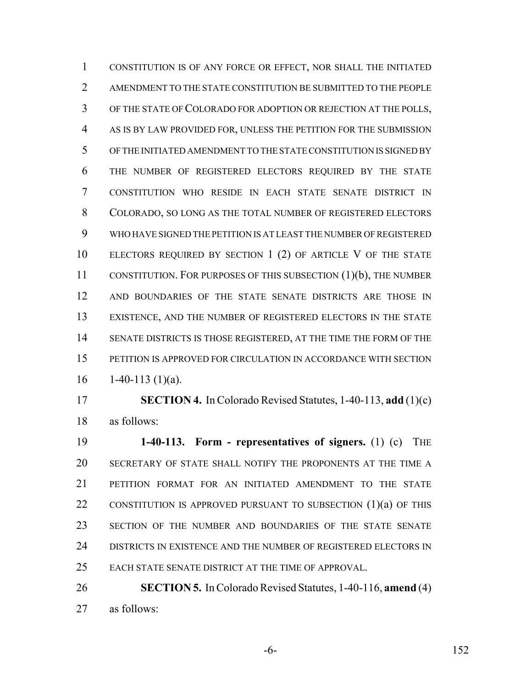CONSTITUTION IS OF ANY FORCE OR EFFECT, NOR SHALL THE INITIATED AMENDMENT TO THE STATE CONSTITUTION BE SUBMITTED TO THE PEOPLE OF THE STATE OF COLORADO FOR ADOPTION OR REJECTION AT THE POLLS, AS IS BY LAW PROVIDED FOR, UNLESS THE PETITION FOR THE SUBMISSION OF THE INITIATED AMENDMENT TO THE STATE CONSTITUTION IS SIGNED BY THE NUMBER OF REGISTERED ELECTORS REQUIRED BY THE STATE CONSTITUTION WHO RESIDE IN EACH STATE SENATE DISTRICT IN COLORADO, SO LONG AS THE TOTAL NUMBER OF REGISTERED ELECTORS WHO HAVE SIGNED THE PETITION IS AT LEAST THE NUMBER OF REGISTERED 10 ELECTORS REQUIRED BY SECTION 1 (2) OF ARTICLE V OF THE STATE CONSTITUTION. FOR PURPOSES OF THIS SUBSECTION (1)(b), THE NUMBER AND BOUNDARIES OF THE STATE SENATE DISTRICTS ARE THOSE IN EXISTENCE, AND THE NUMBER OF REGISTERED ELECTORS IN THE STATE SENATE DISTRICTS IS THOSE REGISTERED, AT THE TIME THE FORM OF THE PETITION IS APPROVED FOR CIRCULATION IN ACCORDANCE WITH SECTION  $16 \qquad 1-40-113 \; (1)(a).$ 

 **SECTION 4.** In Colorado Revised Statutes, 1-40-113, **add** (1)(c) as follows:

 **1-40-113. Form - representatives of signers.** (1) (c) THE SECRETARY OF STATE SHALL NOTIFY THE PROPONENTS AT THE TIME A PETITION FORMAT FOR AN INITIATED AMENDMENT TO THE STATE 22 CONSTITUTION IS APPROVED PURSUANT TO SUBSECTION (1)(a) OF THIS SECTION OF THE NUMBER AND BOUNDARIES OF THE STATE SENATE DISTRICTS IN EXISTENCE AND THE NUMBER OF REGISTERED ELECTORS IN EACH STATE SENATE DISTRICT AT THE TIME OF APPROVAL.

 **SECTION 5.** In Colorado Revised Statutes, 1-40-116, **amend** (4) as follows:

-6- 152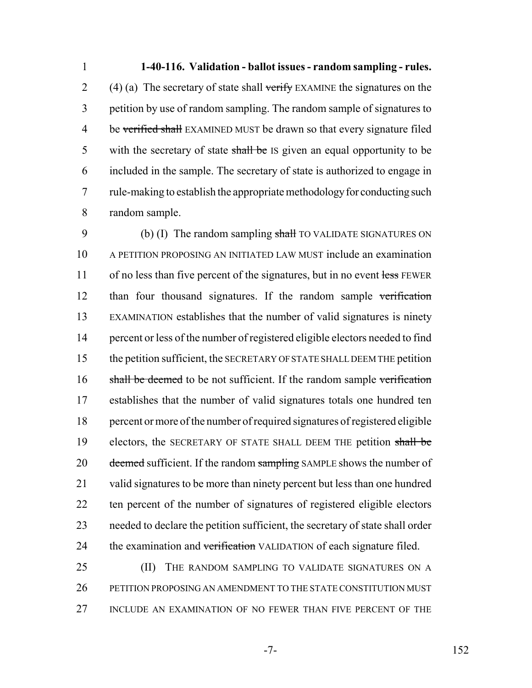**1-40-116. Validation - ballot issues - random sampling - rules.** 2 (4) (a) The secretary of state shall verify EXAMINE the signatures on the petition by use of random sampling. The random sample of signatures to 4 be verified shall EXAMINED MUST be drawn so that every signature filed 5 with the secretary of state shall be IS given an equal opportunity to be included in the sample. The secretary of state is authorized to engage in rule-making to establish the appropriate methodology for conducting such random sample.

9 (b) (I) The random sampling shall TO VALIDATE SIGNATURES ON A PETITION PROPOSING AN INITIATED LAW MUST include an examination 11 of no less than five percent of the signatures, but in no event less FEWER than four thousand signatures. If the random sample verification EXAMINATION establishes that the number of valid signatures is ninety percent or less of the number of registered eligible electors needed to find the petition sufficient, the SECRETARY OF STATE SHALL DEEM THE petition 16 shall be deemed to be not sufficient. If the random sample verification establishes that the number of valid signatures totals one hundred ten percent or more of the number of required signatures of registered eligible 19 electors, the SECRETARY OF STATE SHALL DEEM THE petition shall be 20 <del>deemed</del> sufficient. If the random sampling SAMPLE shows the number of valid signatures to be more than ninety percent but less than one hundred ten percent of the number of signatures of registered eligible electors needed to declare the petition sufficient, the secretary of state shall order 24 the examination and verification VALIDATION of each signature filed.

25 (II) THE RANDOM SAMPLING TO VALIDATE SIGNATURES ON A PETITION PROPOSING AN AMENDMENT TO THE STATE CONSTITUTION MUST INCLUDE AN EXAMINATION OF NO FEWER THAN FIVE PERCENT OF THE

-7- 152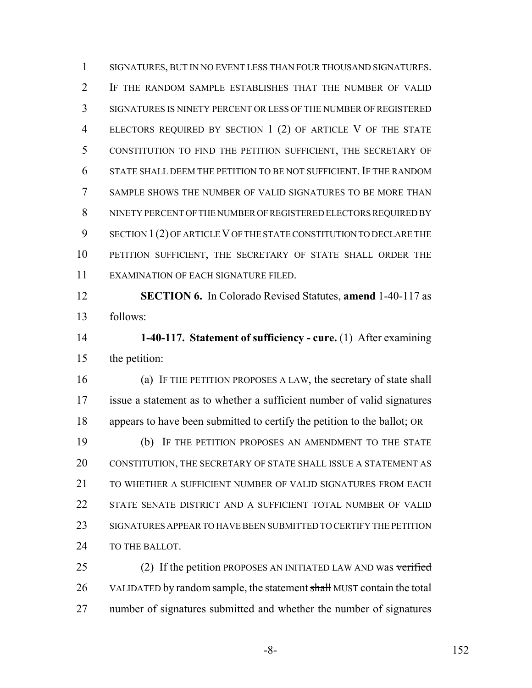SIGNATURES, BUT IN NO EVENT LESS THAN FOUR THOUSAND SIGNATURES. IF THE RANDOM SAMPLE ESTABLISHES THAT THE NUMBER OF VALID SIGNATURES IS NINETY PERCENT OR LESS OF THE NUMBER OF REGISTERED ELECTORS REQUIRED BY SECTION 1 (2) OF ARTICLE V OF THE STATE CONSTITUTION TO FIND THE PETITION SUFFICIENT, THE SECRETARY OF STATE SHALL DEEM THE PETITION TO BE NOT SUFFICIENT. IF THE RANDOM SAMPLE SHOWS THE NUMBER OF VALID SIGNATURES TO BE MORE THAN NINETY PERCENT OF THE NUMBER OF REGISTERED ELECTORS REQUIRED BY SECTION 1(2) OF ARTICLE V OF THE STATE CONSTITUTION TO DECLARE THE PETITION SUFFICIENT, THE SECRETARY OF STATE SHALL ORDER THE EXAMINATION OF EACH SIGNATURE FILED.

 **SECTION 6.** In Colorado Revised Statutes, **amend** 1-40-117 as follows:

 **1-40-117. Statement of sufficiency - cure.** (1) After examining the petition:

 (a) IF THE PETITION PROPOSES A LAW, the secretary of state shall issue a statement as to whether a sufficient number of valid signatures appears to have been submitted to certify the petition to the ballot; OR

 (b) IF THE PETITION PROPOSES AN AMENDMENT TO THE STATE CONSTITUTION, THE SECRETARY OF STATE SHALL ISSUE A STATEMENT AS 21 TO WHETHER A SUFFICIENT NUMBER OF VALID SIGNATURES FROM EACH 22 STATE SENATE DISTRICT AND A SUFFICIENT TOTAL NUMBER OF VALID SIGNATURES APPEAR TO HAVE BEEN SUBMITTED TO CERTIFY THE PETITION 24 TO THE BALLOT.

25 (2) If the petition PROPOSES AN INITIATED LAW AND was verified 26 VALIDATED by random sample, the statement shall MUST contain the total number of signatures submitted and whether the number of signatures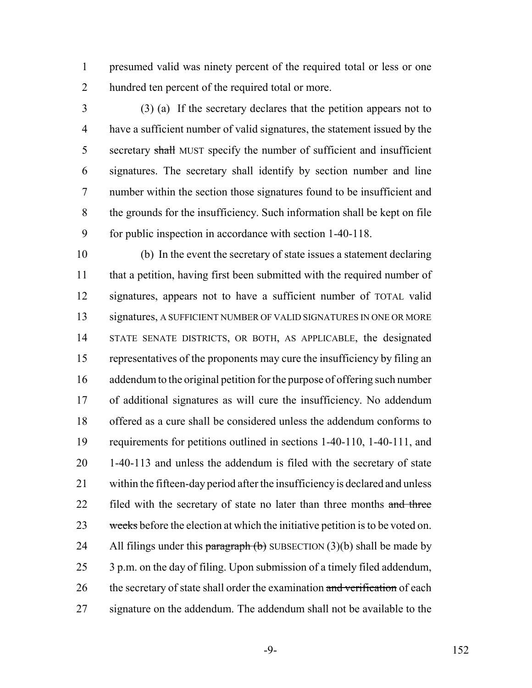presumed valid was ninety percent of the required total or less or one hundred ten percent of the required total or more.

 (3) (a) If the secretary declares that the petition appears not to have a sufficient number of valid signatures, the statement issued by the 5 secretary shall MUST specify the number of sufficient and insufficient signatures. The secretary shall identify by section number and line number within the section those signatures found to be insufficient and the grounds for the insufficiency. Such information shall be kept on file for public inspection in accordance with section 1-40-118.

 (b) In the event the secretary of state issues a statement declaring 11 that a petition, having first been submitted with the required number of signatures, appears not to have a sufficient number of TOTAL valid signatures, A SUFFICIENT NUMBER OF VALID SIGNATURES IN ONE OR MORE STATE SENATE DISTRICTS, OR BOTH, AS APPLICABLE, the designated representatives of the proponents may cure the insufficiency by filing an addendum to the original petition for the purpose of offering such number of additional signatures as will cure the insufficiency. No addendum offered as a cure shall be considered unless the addendum conforms to requirements for petitions outlined in sections 1-40-110, 1-40-111, and 1-40-113 and unless the addendum is filed with the secretary of state within the fifteen-day period after the insufficiency is declared and unless 22 filed with the secretary of state no later than three months and three 23 weeks before the election at which the initiative petition is to be voted on. 24 All filings under this paragraph  $(b)$  SUBSECTION  $(3)(b)$  shall be made by 3 p.m. on the day of filing. Upon submission of a timely filed addendum, 26 the secretary of state shall order the examination and verification of each signature on the addendum. The addendum shall not be available to the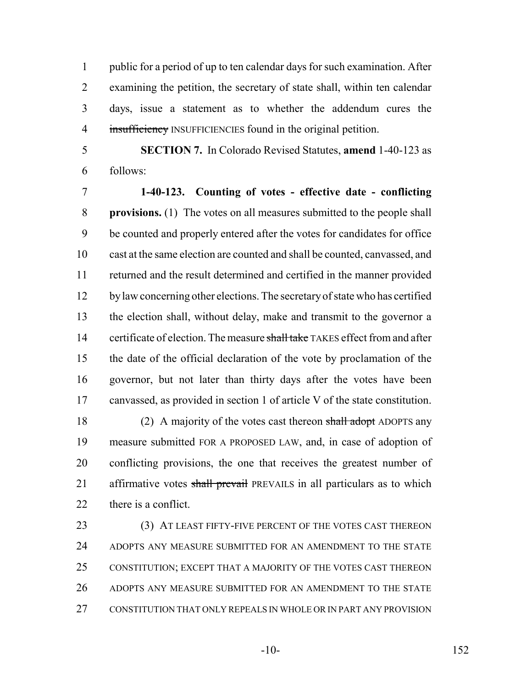public for a period of up to ten calendar days for such examination. After examining the petition, the secretary of state shall, within ten calendar days, issue a statement as to whether the addendum cures the 4 insufficiency INSUFFICIENCIES found in the original petition.

follows:

**SECTION 7.** In Colorado Revised Statutes, **amend** 1-40-123 as

 **1-40-123. Counting of votes - effective date - conflicting provisions.** (1) The votes on all measures submitted to the people shall be counted and properly entered after the votes for candidates for office cast at the same election are counted and shall be counted, canvassed, and returned and the result determined and certified in the manner provided by law concerning other elections. The secretary of state who has certified the election shall, without delay, make and transmit to the governor a 14 certificate of election. The measure shall take TAKES effect from and after the date of the official declaration of the vote by proclamation of the governor, but not later than thirty days after the votes have been canvassed, as provided in section 1 of article V of the state constitution.

18 (2) A majority of the votes cast thereon shall adopt ADOPTS any measure submitted FOR A PROPOSED LAW, and, in case of adoption of conflicting provisions, the one that receives the greatest number of 21 affirmative votes shall prevail PREVAILS in all particulars as to which 22 there is a conflict.

 (3) AT LEAST FIFTY-FIVE PERCENT OF THE VOTES CAST THEREON 24 ADOPTS ANY MEASURE SUBMITTED FOR AN AMENDMENT TO THE STATE CONSTITUTION; EXCEPT THAT A MAJORITY OF THE VOTES CAST THEREON ADOPTS ANY MEASURE SUBMITTED FOR AN AMENDMENT TO THE STATE CONSTITUTION THAT ONLY REPEALS IN WHOLE OR IN PART ANY PROVISION